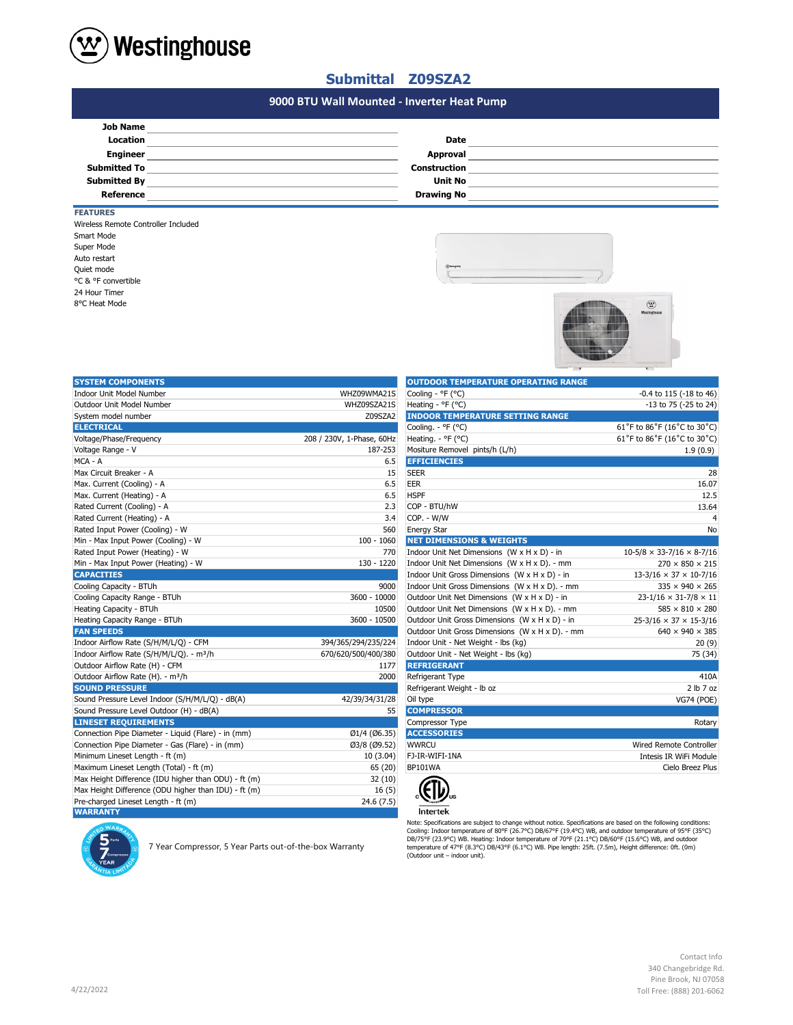

## **Submittal Z09SZA2**

## **#N/A 9000 BTU Wall Mounted - Inverter Heat Pump**

| <b>Job Name</b>     |                     |  |
|---------------------|---------------------|--|
| <b>Location</b>     | <b>Date</b>         |  |
| <b>Engineer</b>     | Approval            |  |
| <b>Submitted To</b> | <b>Construction</b> |  |
| <b>Submitted By</b> | <b>Unit No</b>      |  |
| Reference           | <b>Drawing No</b>   |  |
|                     |                     |  |

## Super Mode Wireless Remote Controller Included Smart Mode **FEATURES** 24 Hour Timer 8°C Heat Mode Auto restart Quiet mode °C & °F convertible





| <b>SYSTEM COMPONENTS</b>                             |                           | <b>OUTDOOR TEMPERATURE OPERATING RANGE</b>      |                                       |
|------------------------------------------------------|---------------------------|-------------------------------------------------|---------------------------------------|
| Indoor Unit Model Number                             | WHZ09WMA21S               | Cooling - °F (°C)                               | -0.4 to 115 (-18 to 46)               |
| Outdoor Unit Model Number                            | WHZ09SZA21S               | Heating - °F (°C)                               | -13 to 75 (-25 to 24)                 |
| System model number                                  | Z09SZA2                   | <b>INDOOR TEMPERATURE SETTING RANGE</b>         |                                       |
| <b>ELECTRICAL</b>                                    |                           | Cooling. - °F (°C)                              | 61°F to 86°F (16°C to 30°C)           |
| Voltage/Phase/Frequency                              | 208 / 230V, 1-Phase, 60Hz | Heating. - ${}^{\circ}$ F ( ${}^{\circ}$ C)     | 61°F to 86°F (16°C to 30°C)           |
| Voltage Range - V                                    | 187-253                   | Mositure Removel pints/h (L/h)                  | 1.9(0.9)                              |
| MCA - A                                              | 6.5                       | <b>EFFICIENCIES</b>                             |                                       |
| Max Circuit Breaker - A                              | 15                        | <b>SEER</b>                                     | 28                                    |
| Max. Current (Cooling) - A                           | 6.5                       | EER                                             | 16.07                                 |
| Max. Current (Heating) - A                           | 6.5                       | <b>HSPF</b>                                     | 12.5                                  |
| Rated Current (Cooling) - A                          | 2.3                       | COP - BTU/hW                                    | 13.64                                 |
| Rated Current (Heating) - A                          | 3.4                       | COP. - W/W                                      | 4                                     |
| Rated Input Power (Cooling) - W                      | 560                       | <b>Energy Star</b>                              | No                                    |
| Min - Max Input Power (Cooling) - W                  | $100 - 1060$              | <b>NET DIMENSIONS &amp; WEIGHTS</b>             |                                       |
| Rated Input Power (Heating) - W                      | 770                       | Indoor Unit Net Dimensions (W x H x D) - in     | $10-5/8 \times 33-7/16 \times 8-7/16$ |
| Min - Max Input Power (Heating) - W                  | 130 - 1220                | Indoor Unit Net Dimensions (W x H x D). - mm    | $270 \times 850 \times 215$           |
| <b>CAPACITIES</b>                                    |                           | Indoor Unit Gross Dimensions (W x H x D) - in   | $13-3/16 \times 37 \times 10-7/16$    |
| Cooling Capacity - BTUh                              | 9000                      | Indoor Unit Gross Dimensions (W x H x D). - mm  | $335 \times 940 \times 265$           |
| Cooling Capacity Range - BTUh                        | 3600 - 10000              | Outdoor Unit Net Dimensions (W x H x D) - in    | $23 - 1/16 \times 31 - 7/8 \times 11$ |
| Heating Capacity - BTUh                              | 10500                     | Outdoor Unit Net Dimensions (W x H x D). - mm   | $585 \times 810 \times 280$           |
| Heating Capacity Range - BTUh                        | 3600 - 10500              | Outdoor Unit Gross Dimensions (W x H x D) - in  | $25-3/16 \times 37 \times 15-3/16$    |
| <b>FAN SPEEDS</b>                                    |                           | Outdoor Unit Gross Dimensions (W x H x D). - mm | $640 \times 940 \times 385$           |
| Indoor Airflow Rate (S/H/M/L/Q) - CFM                | 394/365/294/235/224       | Indoor Unit - Net Weight - lbs (kg)             | 20(9)                                 |
| Indoor Airflow Rate (S/H/M/L/Q). - m <sup>3</sup> /h | 670/620/500/400/380       | Outdoor Unit - Net Weight - Ibs (kg)            | 75 (34)                               |
| Outdoor Airflow Rate (H) - CFM                       | 1177                      | <b>REFRIGERANT</b>                              |                                       |
| Outdoor Airflow Rate (H). - m <sup>3</sup> /h        | 2000                      | Refrigerant Type                                | 410A                                  |
| <b>SOUND PRESSURE</b>                                |                           | Refrigerant Weight - Ib oz                      | 2 lb 7 oz                             |
| Sound Pressure Level Indoor (S/H/M/L/Q) - dB(A)      | 42/39/34/31/28            | Oil type                                        | <b>VG74 (POE)</b>                     |
| Sound Pressure Level Outdoor (H) - dB(A)             | 55                        | <b>COMPRESSOR</b>                               |                                       |
| <b>LINESET REQUIREMENTS</b>                          |                           | Compressor Type                                 | Rotary                                |
| Connection Pipe Diameter - Liquid (Flare) - in (mm)  | Ø1/4 (Ø6.35)              | <b>ACCESSORIES</b>                              |                                       |
| Connection Pipe Diameter - Gas (Flare) - in (mm)     | Ø3/8 (Ø9.52)              | <b>WWRCU</b>                                    | Wired Remote Controller               |
| Minimum Lineset Length - ft (m)                      | 10 (3.04)                 | FJ-IR-WIFI-1NA                                  | Intesis IR WiFi Module                |
| Maximum Lineset Length (Total) - ft (m)              | 65 (20)                   | <b>BP101WA</b>                                  | Cielo Breez Plus                      |
| Max Height Difference (IDU higher than ODU) - ft (m) | 32(10)                    |                                                 |                                       |
| Max Height Difference (ODU higher than IDU) - ft (m) | 16(5)                     |                                                 |                                       |
| Pre-charged Lineset Length - ft (m)                  | 24.6 (7.5)                |                                                 |                                       |
| <b>WARRANTY</b>                                      |                           | <b>Intertek</b>                                 |                                       |

| <b>OUTDOOR TEMPERATURE OPERATING RANGE</b>      |                                       |
|-------------------------------------------------|---------------------------------------|
| Cooling - $^{\circ}$ F ( $^{\circ}$ C)          | $-0.4$ to 115 ( $-18$ to 46)          |
| Heating - °F (°C)                               | $-13$ to 75 ( $-25$ to 24)            |
| <b>INDOOR TEMPERATURE SETTING RANGE</b>         |                                       |
| Cooling. - °F (°C)                              | 61°F to 86°F (16°C to 30°C)           |
| Heating. - °F (°C)                              | 61°F to 86°F (16°C to 30°C)           |
| Mositure Removel pints/h (L/h)                  | 1.9(0.9)                              |
| <b>EFFICIENCIES</b>                             |                                       |
| <b>SEER</b>                                     | 28                                    |
| EER                                             | 16.07                                 |
| <b>HSPF</b>                                     | 12.5                                  |
| COP - BTU/hW                                    | 13.64                                 |
| COP. - W/W                                      | 4                                     |
| <b>Energy Star</b>                              | No                                    |
| <b>NET DIMENSIONS &amp; WEIGHTS</b>             |                                       |
| Indoor Unit Net Dimensions (W x H x D) - in     | $10-5/8 \times 33-7/16 \times 8-7/16$ |
| Indoor Unit Net Dimensions (W x H x D). - mm    | $270 \times 850 \times 215$           |
| Indoor Unit Gross Dimensions (W x H x D) - in   | $13-3/16 \times 37 \times 10-7/16$    |
| Indoor Unit Gross Dimensions (W x H x D). - mm  | $335 \times 940 \times 265$           |
| Outdoor Unit Net Dimensions (W x H x D) - in    | $23 - 1/16 \times 31 - 7/8 \times 11$ |
| Outdoor Unit Net Dimensions (W x H x D). - mm   | $585 \times 810 \times 280$           |
| Outdoor Unit Gross Dimensions (W x H x D) - in  | $25-3/16 \times 37 \times 15-3/16$    |
| Outdoor Unit Gross Dimensions (W x H x D). - mm | $640 \times 940 \times 385$           |
| Indoor Unit - Net Weight - lbs (kg)             | 20(9)                                 |
| Outdoor Unit - Net Weight - lbs (kg)            | 75 (34)                               |
| <b>REFRIGERANT</b>                              |                                       |
| Refrigerant Type                                | 410A                                  |
| Refrigerant Weight - Ib oz                      | 2 lb 7 oz                             |
| Oil type                                        | <b>VG74 (POE)</b>                     |
| <b>COMPRESSOR</b>                               |                                       |
| Compressor Type                                 | Rotary                                |
| <b>ACCESSORIES</b>                              |                                       |
| <b>WWRCU</b>                                    | Wired Remote Controller               |
| FJ-IR-WIFI-1NA                                  | Intesis IR WiFi Module                |
| BP101WA                                         | Cielo Breez Plus                      |
|                                                 |                                       |



Note: Specifications are subject to change without notice. Specifications are based on the following conditions:<br>Cooling: Indoor temperature of 80°F (26.7°C) DB/67°F (19.4°C) WB, and outdoor temperature of 95°F (35°C)<br>DB/7